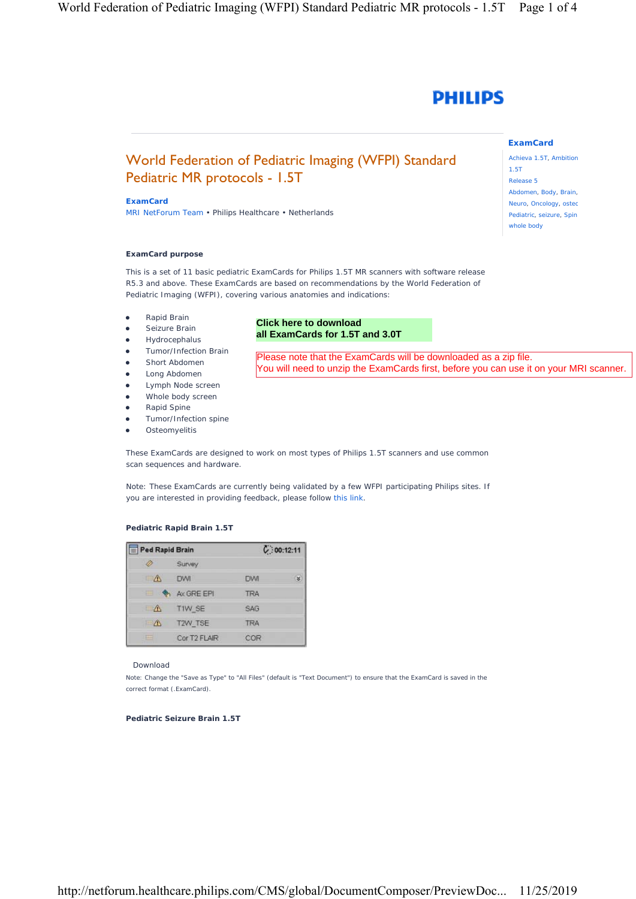

# World Federation of Pediatric Imaging (WFPI) Standard Pediatric MR protocols - 1.5T

#### **ExamCard**

MRI NetForum Team • Philips Healthcare • Netherlands

## **ExamCard purpose**

This is a set of 11 basic pediatric ExamCards for Philips 1.5T MR scanners with software release R5.3 and above. These ExamCards are based on recommendations by the World Federation of Pediatric Imaging (WFPI), covering various anatomies and indications:

- Rapid Brain
- **•** Seizure Brain
- **•** Hydrocephalus
- **•** Tumor/Infection Brain
- Short Abdomen
- Long Abdomen
- Lymph Node screen
- Whole body screen
- Rapid Spine
- Tumor/Infection spine
- Osteomyelitis

# **Click here to download [all ExamCards for 1.5T and 3.0T](https://www.philips.com/c-dam/b2bhc/master/sites/netforum/zips/wpfi-standard-pediatric-mr-protocols.zip)**

Please note that the ExamCards will be downloaded as a zip file. You will need to unzip the ExamCards first, before you can use it on your MRI scanner.

These ExamCards are designed to work on most types of Philips 1.5T scanners and use common scan sequences and hardware.

Note: These ExamCards are currently being validated by a few WFPI participating Philips sites. If you are interested in providing feedback, please follow this link.

# **Pediatric Rapid Brain 1.5T**

|            | $\equiv$ Ped Rapid Brain |            | C: 00: 12: 11 |
|------------|--------------------------|------------|---------------|
|            | <b>Survey</b>            |            |               |
|            | <b>DWI</b>               | <b>DWI</b> | ż             |
| 中国         | Ax GREEPI                | <b>TRA</b> |               |
| $\sqrt{N}$ | TIW SE                   | <b>SAG</b> |               |
|            | T <sub>2</sub> W TSE     | <b>TRA</b> |               |
| $-1$       | Cor T2 FLAIR             | COR        |               |

#### Download

Note: Change the "Save as Type" to "All Files" (default is "Text Document") to ensure that the ExamCard is saved in the correct format (.ExamCard).

#### **Pediatric Seizure Brain 1.5T**

# **ExamCard**

Achieva 1.5T, Ambition 1.5T Release 5 Abdomen, Body, Brain, Neuro, Oncology, osted Pediatric, seizure, Spin whole body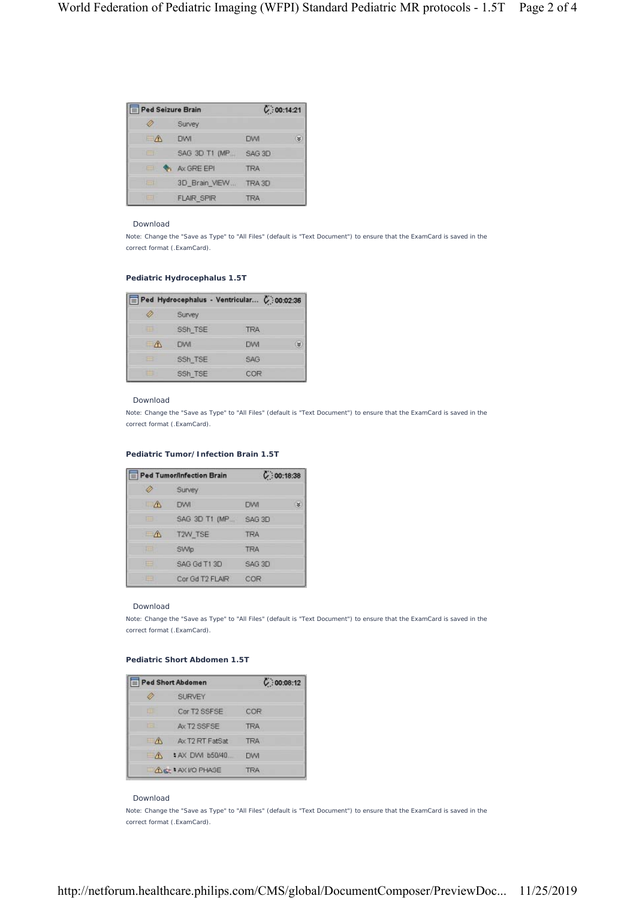| Ped Seizure Brain |                   | C: 00:14:21      |  |
|-------------------|-------------------|------------------|--|
|                   | Survey            |                  |  |
| $\rightarrow$     | <b>DWI</b>        | s<br><b>TIMI</b> |  |
| ⊟                 | SAG 3D T1 (MP     | SAG 3D           |  |
| m.                | Ax GRE EPI        | <b>TRA</b>       |  |
| $\frac{1}{2}$     | 3D Brain VIEW     | TRA3D            |  |
| $\equiv$          | <b>FLAIR SPIR</b> | <b>TRA</b>       |  |

#### Download

Note: Change the "Save as Type" to "All Files" (default is "Text Document") to ensure that the ExamCard is saved in the correct format (.ExamCard).

# **Pediatric Hydrocephalus 1.5T**

|           |         | Ped Hydrocephalus - Ventricular C:00:02:36 |   |
|-----------|---------|--------------------------------------------|---|
|           | Survey  |                                            |   |
| ⊟         | SSh TSE | TRA                                        |   |
| $-\wedge$ | DW      | DW                                         | ತ |
| B         | SSh TSE | <b>SAG</b>                                 |   |
| ⊟         | SSh TSE | COR                                        |   |

#### Download

Note: Change the "Save as Type" to "All Files" (default is "Text Document") to ensure that the ExamCard is saved in the correct format (.ExamCard).

## **Pediatric Tumor/Infection Brain 1.5T**

| Ped Tumor/Infection Brain |                       | C: 00:18:38        |   |
|---------------------------|-----------------------|--------------------|---|
|                           | <b>Survey</b>         |                    |   |
| $\sqrt{N}$                | <b>DWI</b>            | <b>DVVI</b>        | ¥ |
| $\equiv$                  | SAG 3D T1 (MP. SAG 3D |                    |   |
| $\mathbb{R}$              | T2W_TSE               | TRA                |   |
| $15 - 1$                  | SWIp                  | TRA                |   |
| $-1$                      | SAG Gd T1 3D          | SAG <sub>3</sub> D |   |
| $-1$                      | Car Gd T2 FLAIR       | COR                |   |

### Download

Note: Change the "Save as Type" to "All Files" (default is "Text Document") to ensure that the ExamCard is saved in the correct format (.ExamCard).

# **Pediatric Short Abdomen 1.5T**

|        | Ped Short Abdomen       | C:00:08:12  |
|--------|-------------------------|-------------|
|        | <b>SURVEY</b>           |             |
| œ      | Cor T2 SSFSE            | COR         |
| --     | Ax T2 SSFSE             | <b>TRA</b>  |
| $ /1$  | Ax T2 RT FatSat         | <b>TRA</b>  |
| $-\pi$ | # AX DWI b50/40         | <b>DVVI</b> |
|        | <b>ALC: AXI/O PHASE</b> | <b>TRA</b>  |

# Download

Note: Change the "Save as Type" to "All Files" (default is "Text Document") to ensure that the ExamCard is saved in the correct format (.ExamCard).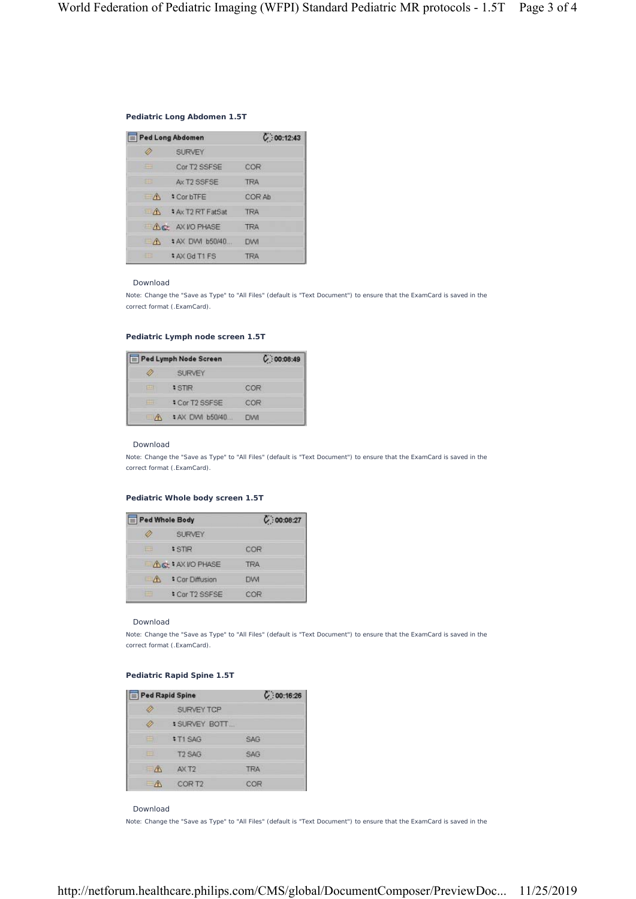## **Pediatric Long Abdomen 1.5T**

| Ped Long Abdomen |                         | C: 00:12:43 |
|------------------|-------------------------|-------------|
|                  | <b>SURVEY</b>           |             |
| --               | Cor T2 SSFSE            | COR         |
| 田                | Ax T <sub>2</sub> SSESE | <b>TRA</b>  |
| $-\Lambda$       | <b>CorbTFE</b>          | COR Ah      |
| $\Lambda$        | * Ax T2 RT FatSat       | <b>TRA</b>  |
|                  | ALC: AX VO PHASE        | <b>TRA</b>  |
| $-\Lambda$       | \$ AX DWI b50/40        | DWI         |
| 田                | <b>\$AX Gd T1 FS</b>    | <b>TRA</b>  |

#### Download

Note: Change the "Save as Type" to "All Files" (default is "Text Document") to ensure that the ExamCard is saved in the correct format (.ExamCard).

# **Pediatric Lymph node screen 1.5T**

|              | Ped Lymph Node Screen | C: 00:08:49 |
|--------------|-----------------------|-------------|
| 47           | SURVEY                |             |
| 巴            | <b>STR</b>            | COR         |
|              | # Cor T2 SSFSE        | COR         |
| $\mathbb{R}$ | # AX DVVI b50/40      | <b>DWI</b>  |

#### Download

Note: Change the "Save as Type" to "All Files" (default is "Text Document") to ensure that the ExamCard is saved in the correct format (.ExamCard).

## **Pediatric Whole body screen 1.5T**

| Ped Whole Body |                    | C: 00:08:27 |
|----------------|--------------------|-------------|
|                | <b>SURVEY</b>      |             |
|                | <b>STIR</b>        | COR         |
|                | ACC + AX I/O PHASE | <b>TRA</b>  |
| $\Lambda$      | * Cor Diffusion    | <b>DWI</b>  |
|                | Cor T2 SSFSE       | COR         |

#### Download

Note: Change the "Save as Type" to "All Files" (default is "Text Document") to ensure that the ExamCard is saved in the correct format (.ExamCard).

# **Pediatric Rapid Spine 1.5T**

| Ped Rapid Spine          |                    | C:00:16:26 |
|--------------------------|--------------------|------------|
|                          | SURVEY TCP         |            |
|                          | <b>SURVEY BOTT</b> |            |
| e                        | $$T1$ SAG          | <b>SAG</b> |
| 田                        | <b>T2 SAG</b>      | SAG        |
| $\mathbb{R}$             | AX T <sub>2</sub>  | <b>TRA</b> |
| $\overline{\phantom{1}}$ | COR T <sub>2</sub> | COR        |

Download

Note: Change the "Save as Type" to "All Files" (default is "Text Document") to ensure that the ExamCard is saved in the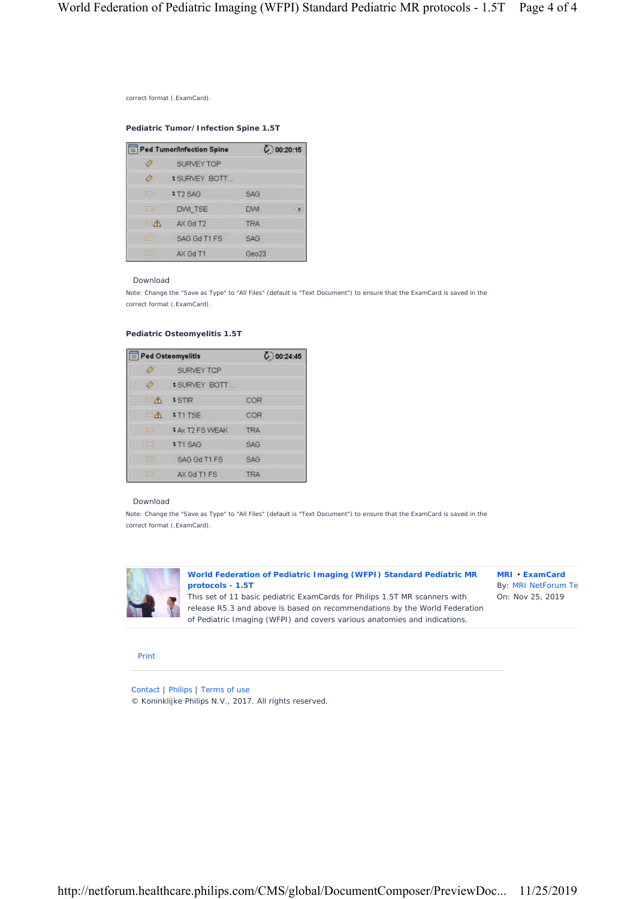correct format (.ExamCard).

**Pediatric Tumor/Infection Spine 1.5T**

|            | $\equiv$ Ped Tumor/Infection Spine |                   | C: 00:20:15 |
|------------|------------------------------------|-------------------|-------------|
|            | SURVEY TOP                         |                   |             |
|            | <b>\$SURVEY BOTT</b>               |                   |             |
| 田          | <b>: T2 SAG</b>                    | SAG               |             |
| ш          | DWI TSE                            | <b>DVVI</b>       | ×           |
| $\sqrt{N}$ | AX Gd T2                           | <b>TRA</b>        |             |
| ᆖ          | SAG Gd T1 FS                       | <b>SAG</b>        |             |
| 固          | AX Gd T1                           | Geo <sub>23</sub> |             |

## Download

Note: Change the "Save as Type" to "All Files" (default is "Text Document") to ensure that the ExamCard is saved in the correct format (.ExamCard).

# **Pediatric Osteomyelitis 1.5T**

| Ped Osteomyelitis |                         | C: 00:24:45 |
|-------------------|-------------------------|-------------|
| Ø                 | SURVEY TCP              |             |
|                   | <b>SURVEY BOTT</b>      |             |
| $-\Lambda$        | <b>STIR</b>             | COR         |
| $-\Lambda$        | $+T1$ TSE               | COR         |
| ⊟                 | <b>\$ Ax T2 FS WEAK</b> | <b>TRA</b>  |
| ⊟                 | <b>#T1SAG</b>           | <b>SAG</b>  |
| 田                 | SAG Gd T1 FS            | SAG         |
| ⊨                 | AX Gd T1 FS             | <b>TRA</b>  |

#### Download

Note: Change the "Save as Type" to "All Files" (default is "Text Document") to ensure that the ExamCard is saved in the correct format (.ExamCard).



**World Federation of Pediatric Imaging (WFPI) Standard Pediatric MR protocols - 1.5T** 

This set of 11 basic pediatric ExamCards for Philips 1.5T MR scanners with release R5.3 and above is based on recommendations by the World Federation of Pediatric Imaging (WFPI) and covers various anatomies and indications.

**MRI** • **ExamCard** By: MRI NetForum Te On: Nov 25, 2019

### Print

Contact | Philips | Terms of use © Koninklijke Philips N.V., 2017. All rights reserved.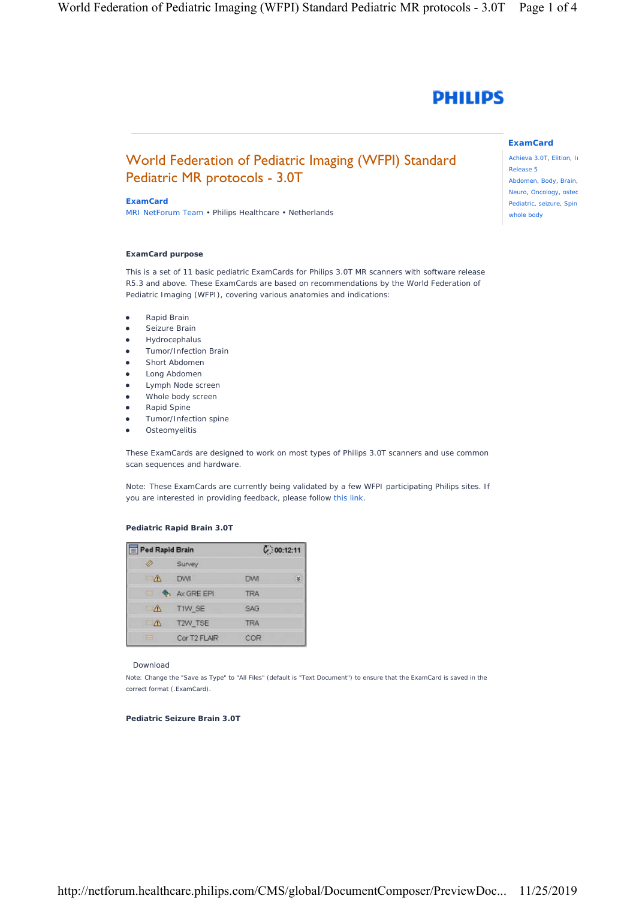

# World Federation of Pediatric Imaging (WFPI) Standard Pediatric MR protocols - 3.0T

### **ExamCard**

MRI NetForum Team • Philips Healthcare • Netherlands

## **ExamCard purpose**

This is a set of 11 basic pediatric ExamCards for Philips 3.0T MR scanners with software release R5.3 and above. These ExamCards are based on recommendations by the World Federation of Pediatric Imaging (WFPI), covering various anatomies and indications:

- Rapid Brain
- **•** Seizure Brain
- **•** Hydrocephalus
- **•** Tumor/Infection Brain
- Short Abdomen
- **•** Long Abdomen
- **•** Lymph Node screen
- Whole body screen
- Rapid Spine
- Tumor/Infection spine
- **•** Osteomyelitis

These ExamCards are designed to work on most types of Philips 3.0T scanners and use common scan sequences and hardware.

Note: These ExamCards are currently being validated by a few WFPI participating Philips sites. If you are interested in providing feedback, please follow this link.

## **Pediatric Rapid Brain 3.0T**

|               | $\equiv$ Ped Rapid Brain |            | C: 00: 12: 11 |
|---------------|--------------------------|------------|---------------|
|               | Survey                   |            |               |
|               | <b>DWI</b>               | <b>DWI</b> | ż             |
| 申り            | A AX GREEPI              | <b>TRA</b> |               |
| $\mathcal{N}$ | TIW SE                   | <b>SAG</b> |               |
| $\mathbb{R}$  | T <sub>2</sub> W TSE     | <b>TRA</b> |               |
| $\frac{1}{2}$ | Cor T2 FLAIR             | COR        |               |

#### Download

Note: Change the "Save as Type" to "All Files" (default is "Text Document") to ensure that the ExamCard is saved in the correct format (.ExamCard).

#### **Pediatric Seizure Brain 3.0T**

Achieva 3.0T, Elition, In Release 5 Abdomen, Body, Brain, Neuro, Oncology, ostec Pediatric, seizure, Spin whole body

**ExamCard**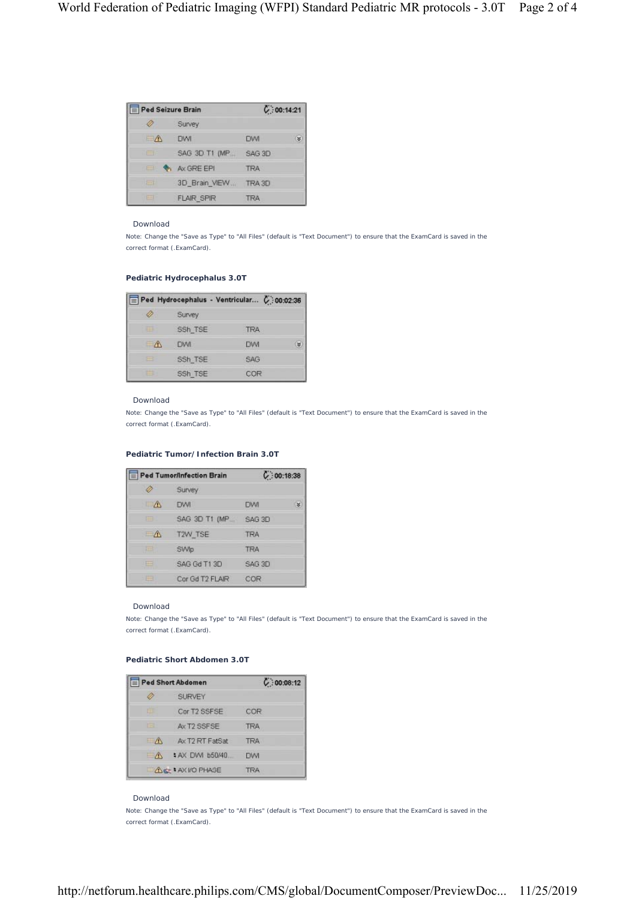| Ped Seizure Brain |                   | C: 00:14:21 |
|-------------------|-------------------|-------------|
|                   | Survey            |             |
| $\rightarrow$     | <b>DWI</b>        | s<br>DW     |
| ╒═╕               | SAG 3D T1 (MP     | SAG 3D      |
|                   | Ax GRE EPI        | <b>TRA</b>  |
| $\frac{1}{2}$     | 3D Brain VIEW     | TRA3D       |
| $\equiv$          | <b>FLAIR SPIR</b> | <b>TRA</b>  |

#### Download

Note: Change the "Save as Type" to "All Files" (default is "Text Document") to ensure that the ExamCard is saved in the correct format (.ExamCard).

# **Pediatric Hydrocephalus 3.0T**

|   | Ped Hydrocephalus - Ventricular C: 00:02:36 |            |   |
|---|---------------------------------------------|------------|---|
|   | Survey                                      |            |   |
| ⊟ | SSh TSE                                     | TRA        |   |
|   | DW                                          | DW         | ತ |
| m | SSh TSE                                     | <b>SAG</b> |   |
| ⊟ | SSh TSE                                     | COR        |   |

#### Download

Note: Change the "Save as Type" to "All Files" (default is "Text Document") to ensure that the ExamCard is saved in the correct format (.ExamCard).

## **Pediatric Tumor/Infection Brain 3.0T**

|              | Ped Tumor/Infection Brain | C: 00:18:38        |   |
|--------------|---------------------------|--------------------|---|
|              | <b>Survey</b>             |                    |   |
| $\sqrt{N}$   | <b>DWI</b>                | <b>DVVI</b>        | ¥ |
| $\equiv$     | SAG 3D T1 (MP. SAG 3D     |                    |   |
| $\mathbb{R}$ | T2W_TSE                   | TRA                |   |
| $15 - 1$     | SWIp                      | <b>TRA</b>         |   |
| $-1$         | SAG Gd T1 3D              | SAG <sub>3</sub> D |   |
| $-1$         | Car Gd T2 FLAIR           | COR                |   |

### Download

Note: Change the "Save as Type" to "All Files" (default is "Text Document") to ensure that the ExamCard is saved in the correct format (.ExamCard).

# **Pediatric Short Abdomen 3.0T**

|               | Ped Short Abdomen                 | C: 00:08:12 |
|---------------|-----------------------------------|-------------|
|               | <b>SURVEY</b>                     |             |
| œ             | Cor T2 SSFSE                      | COR         |
| -3            | Ax T2 SSFSE                       | <b>TRA</b>  |
| $ /1$         | Ax T2 RT FatSat                   | <b>TRA</b>  |
| $\rightarrow$ | : AX DWI b50/40<br>$\overline{a}$ | <b>DVVI</b> |
|               | <b>ALC: AX I/O PHASE</b>          | <b>TRA</b>  |

# Download

Note: Change the "Save as Type" to "All Files" (default is "Text Document") to ensure that the ExamCard is saved in the correct format (.ExamCard).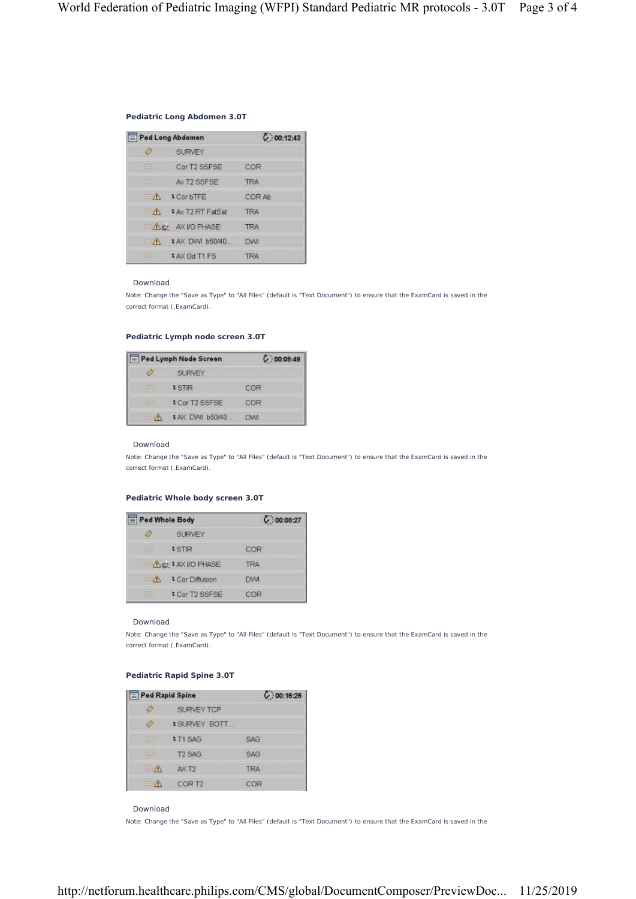## **Pediatric Long Abdomen 3.0T**

| Ped Long Abdomen |                         | C: 00:12:43 |  |
|------------------|-------------------------|-------------|--|
|                  | <b>SURVEY</b>           |             |  |
| --               | Cor T2 SSFSE            | COR         |  |
| 田                | Ax T <sub>2</sub> SSESE | <b>TRA</b>  |  |
| $-\Lambda$       | <b>CorbTFE</b>          | COR Ah      |  |
| $\Lambda$        | * Ax T2 RT FatSat       | <b>TRA</b>  |  |
|                  | ALC: AX VO PHASE        | <b>TRA</b>  |  |
| $-\Lambda$       | \$ AX DWI b50/40        | DWI         |  |
| 田                | <b>\$AX Gd T1 FS</b>    | <b>TRA</b>  |  |

#### Download

Note: Change the "Save as Type" to "All Files" (default is "Text Document") to ensure that the ExamCard is saved in the correct format (.ExamCard).

# **Pediatric Lymph node screen 3.0T**

| Ped Lymph Node Screen |                  | C:00:08:49 |
|-----------------------|------------------|------------|
| 47                    | SURVEY           |            |
| 巨                     | <b>STR</b>       | COR        |
|                       | # Cor T2 SSFSE   | COR        |
| - A                   | # AX DVVI b50/40 | <b>DWI</b> |

#### Download

Note: Change the "Save as Type" to "All Files" (default is "Text Document") to ensure that the ExamCard is saved in the correct format (.ExamCard).

## **Pediatric Whole body screen 3.0T**

| Ped Whole Body |                    | C: 00:08:27 |
|----------------|--------------------|-------------|
|                | <b>SURVEY</b>      |             |
|                | <b>STIR</b>        | COR         |
|                | ACC + AX I/O PHASE | <b>TRA</b>  |
| $\Lambda$      | * Cor Diffusion    | <b>DWI</b>  |
|                | Cor T2 SSFSE       | COR         |

#### Download

Note: Change the "Save as Type" to "All Files" (default is "Text Document") to ensure that the ExamCard is saved in the correct format (.ExamCard).

# **Pediatric Rapid Spine 3.0T**

| Ped Rapid Spine          |                    | C:00:16:26 |
|--------------------------|--------------------|------------|
|                          | SURVEY TCP         |            |
|                          | <b>SURVEY BOTT</b> |            |
| e                        | $$T1$ SAG          | <b>SAG</b> |
| 田                        | <b>T2 SAG</b>      | SAG        |
| $\mathbb{R}$             | AX T <sub>2</sub>  | <b>TRA</b> |
| $\overline{\phantom{1}}$ | COR T <sub>2</sub> | COR        |

Download

Note: Change the "Save as Type" to "All Files" (default is "Text Document") to ensure that the ExamCard is saved in the